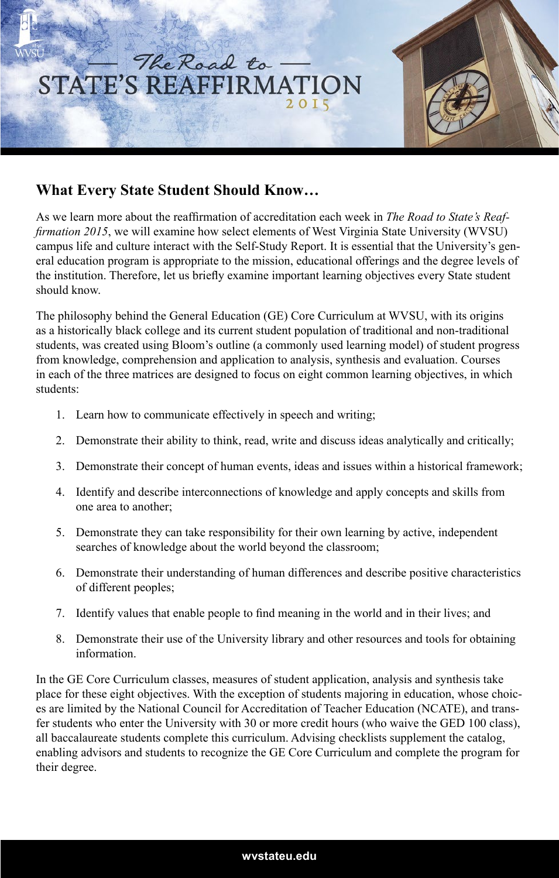

## **What Every State Student Should Know…**

As we learn more about the reaffirmation of accreditation each week in *The Road to State's Reaffirmation 2015*, we will examine how select elements of West Virginia State University (WVSU) campus life and culture interact with the Self-Study Report. It is essential that the University's general education program is appropriate to the mission, educational offerings and the degree levels of the institution. Therefore, let us briefly examine important learning objectives every State student should know.

The philosophy behind the General Education (GE) Core Curriculum at WVSU, with its origins as a historically black college and its current student population of traditional and non-traditional students, was created using Bloom's outline (a commonly used learning model) of student progress from knowledge, comprehension and application to analysis, synthesis and evaluation. Courses in each of the three matrices are designed to focus on eight common learning objectives, in which students:

- 1. Learn how to communicate effectively in speech and writing;
- 2. Demonstrate their ability to think, read, write and discuss ideas analytically and critically;
- 3. Demonstrate their concept of human events, ideas and issues within a historical framework;
- 4. Identify and describe interconnections of knowledge and apply concepts and skills from one area to another;
- 5. Demonstrate they can take responsibility for their own learning by active, independent searches of knowledge about the world beyond the classroom;
- 6. Demonstrate their understanding of human differences and describe positive characteristics of different peoples;
- 7. Identify values that enable people to find meaning in the world and in their lives; and
- 8. Demonstrate their use of the University library and other resources and tools for obtaining information.

In the GE Core Curriculum classes, measures of student application, analysis and synthesis take place for these eight objectives. With the exception of students majoring in education, whose choices are limited by the National Council for Accreditation of Teacher Education (NCATE), and transfer students who enter the University with 30 or more credit hours (who waive the GED 100 class), all baccalaureate students complete this curriculum. Advising checklists supplement the catalog, enabling advisors and students to recognize the GE Core Curriculum and complete the program for their degree.